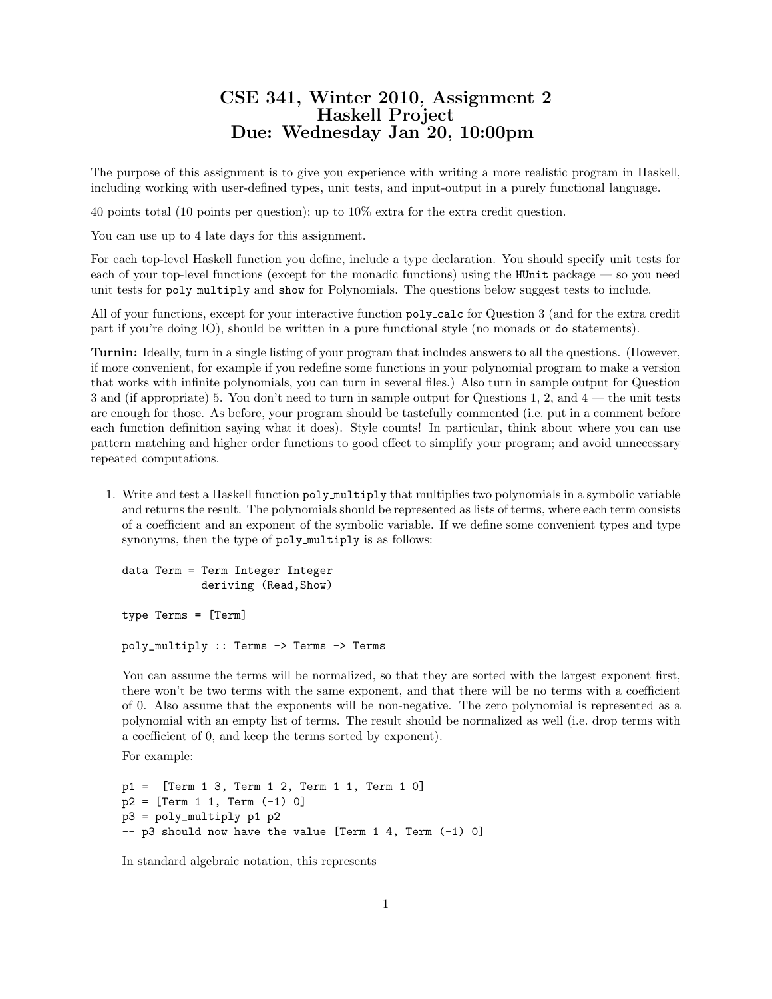## CSE 341, Winter 2010, Assignment 2 Haskell Project Due: Wednesday Jan 20, 10:00pm

The purpose of this assignment is to give you experience with writing a more realistic program in Haskell, including working with user-defined types, unit tests, and input-output in a purely functional language.

40 points total (10 points per question); up to 10% extra for the extra credit question.

You can use up to 4 late days for this assignment.

For each top-level Haskell function you define, include a type declaration. You should specify unit tests for each of your top-level functions (except for the monadic functions) using the HUnit package — so you need unit tests for poly multiply and show for Polynomials. The questions below suggest tests to include.

All of your functions, except for your interactive function poly calc for Question 3 (and for the extra credit part if you're doing IO), should be written in a pure functional style (no monads or do statements).

Turnin: Ideally, turn in a single listing of your program that includes answers to all the questions. (However, if more convenient, for example if you redefine some functions in your polynomial program to make a version that works with infinite polynomials, you can turn in several files.) Also turn in sample output for Question 3 and (if appropriate) 5. You don't need to turn in sample output for Questions 1, 2, and 4 — the unit tests are enough for those. As before, your program should be tastefully commented (i.e. put in a comment before each function definition saying what it does). Style counts! In particular, think about where you can use pattern matching and higher order functions to good effect to simplify your program; and avoid unnecessary repeated computations.

1. Write and test a Haskell function poly multiply that multiplies two polynomials in a symbolic variable and returns the result. The polynomials should be represented as lists of terms, where each term consists of a coefficient and an exponent of the symbolic variable. If we define some convenient types and type synonyms, then the type of poly multiply is as follows:

data Term = Term Integer Integer deriving (Read,Show) type Terms = [Term] poly\_multiply :: Terms -> Terms -> Terms

You can assume the terms will be normalized, so that they are sorted with the largest exponent first, there won't be two terms with the same exponent, and that there will be no terms with a coefficient of 0. Also assume that the exponents will be non-negative. The zero polynomial is represented as a polynomial with an empty list of terms. The result should be normalized as well (i.e. drop terms with a coefficient of 0, and keep the terms sorted by exponent).

For example:

```
p1 = [Term 1 3, Term 1 2, Term 1 1, Term 1 0]
p2 = [Term 1 1, Term (-1) 0]p3 = poly_multiply p1 p2
-- p3 should now have the value [Term 1 4, Term (-1) 0]
```
In standard algebraic notation, this represents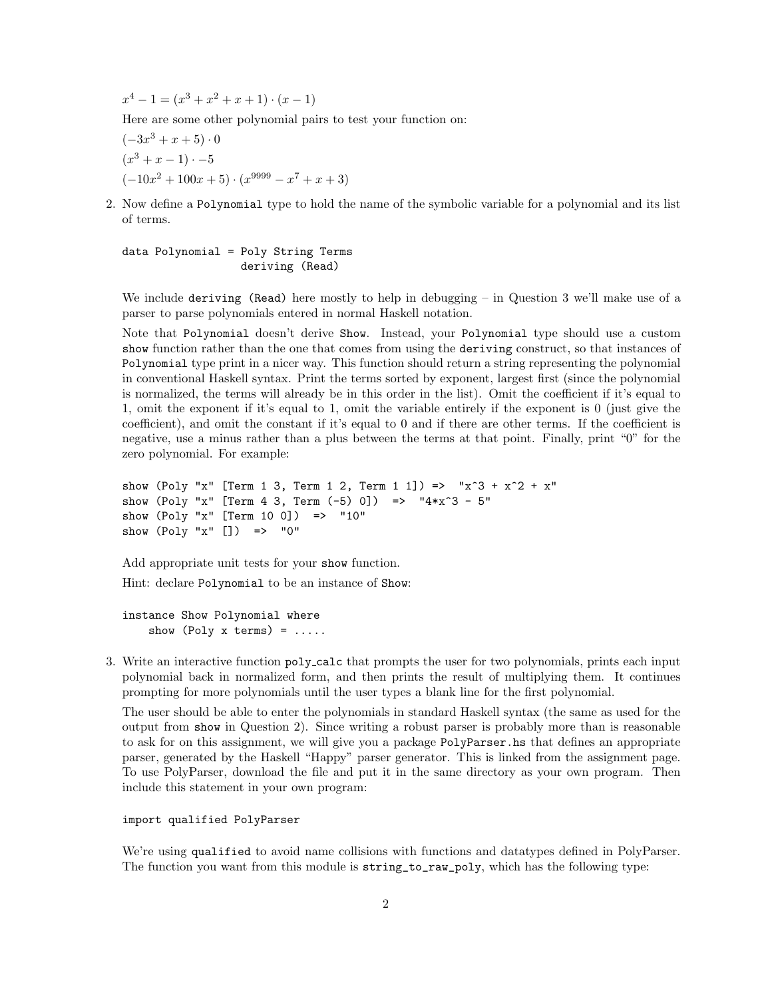$x^4 - 1 = (x^3 + x^2 + x + 1) \cdot (x - 1)$ 

Here are some other polynomial pairs to test your function on:

$$
(-3x3 + x + 5) \cdot 0
$$
  
(x<sup>3</sup> + x - 1) -5  
(-10x<sup>2</sup> + 100x + 5) \cdot (x<sup>9999</sup> - x<sup>7</sup> + x + 3)

2. Now define a Polynomial type to hold the name of the symbolic variable for a polynomial and its list of terms.

data Polynomial = Poly String Terms deriving (Read)

We include deriving (Read) here mostly to help in debugging – in Question 3 we'll make use of a parser to parse polynomials entered in normal Haskell notation.

Note that Polynomial doesn't derive Show. Instead, your Polynomial type should use a custom show function rather than the one that comes from using the deriving construct, so that instances of Polynomial type print in a nicer way. This function should return a string representing the polynomial in conventional Haskell syntax. Print the terms sorted by exponent, largest first (since the polynomial is normalized, the terms will already be in this order in the list). Omit the coefficient if it's equal to 1, omit the exponent if it's equal to 1, omit the variable entirely if the exponent is 0 (just give the coefficient), and omit the constant if it's equal to 0 and if there are other terms. If the coefficient is negative, use a minus rather than a plus between the terms at that point. Finally, print "0" for the zero polynomial. For example:

```
show (Poly "x" [Term 1 3, Term 1 2, Term 1 1]) => "x^3 + x^2 + x"
show (Poly "x" [Term 4 3, Term (-5) 0]) => "4*x^3 - 5"
show (Poly "x" [Term 10 0]) => "10"
show (Poly "x" []) => "0"
```
Add appropriate unit tests for your show function.

Hint: declare Polynomial to be an instance of Show:

instance Show Polynomial where show (Poly  $x$  terms) = .....

3. Write an interactive function poly calc that prompts the user for two polynomials, prints each input polynomial back in normalized form, and then prints the result of multiplying them. It continues prompting for more polynomials until the user types a blank line for the first polynomial.

The user should be able to enter the polynomials in standard Haskell syntax (the same as used for the output from show in Question 2). Since writing a robust parser is probably more than is reasonable to ask for on this assignment, we will give you a package PolyParser.hs that defines an appropriate parser, generated by the Haskell "Happy" parser generator. This is linked from the assignment page. To use PolyParser, download the file and put it in the same directory as your own program. Then include this statement in your own program:

## import qualified PolyParser

We're using qualified to avoid name collisions with functions and datatypes defined in PolyParser. The function you want from this module is string\_to\_raw\_poly, which has the following type: